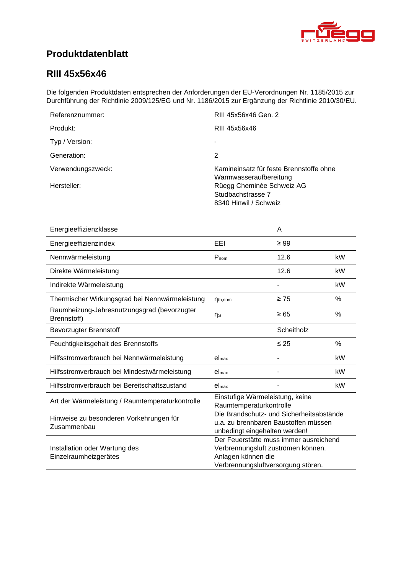<span id="page-0-4"></span><span id="page-0-3"></span><span id="page-0-2"></span><span id="page-0-1"></span>

# **Produktdatenblatt**

### <span id="page-0-0"></span>**RIII 45x56x46**

Die folgenden Produktdaten entsprechen der Anforderungen der EU-Verordnungen Nr. 1185/2015 zur Durchführung der Richtlinie 2009/125/EG und Nr. 1186/2015 zur Ergänzung der Richtlinie 2010/30/EU.

| Referenznummer:   | RIII 45x56x46 Gen. 2                                                    |
|-------------------|-------------------------------------------------------------------------|
| Produkt:          | RIII 45x56x46                                                           |
| Typ / Version:    |                                                                         |
| Generation:       | 2                                                                       |
| Verwendungszweck: | Kamineinsatz für feste Brennstoffe ohne<br>Warmwasseraufbereitung       |
| Hersteller:       | Rüegg Cheminée Schweiz AG<br>Studbachstrasse 7<br>8340 Hinwil / Schweiz |

<span id="page-0-8"></span><span id="page-0-7"></span><span id="page-0-6"></span><span id="page-0-5"></span>

| Energieeffizienzklasse                                     |                                                                                                                                          | A          |      |
|------------------------------------------------------------|------------------------------------------------------------------------------------------------------------------------------------------|------------|------|
| Energieeffizienzindex                                      | EEI                                                                                                                                      | $\geq 99$  |      |
| Nennwärmeleistung                                          | $P_{nom}$                                                                                                                                | 12.6       | kW   |
| Direkte Wärmeleistung                                      |                                                                                                                                          | 12.6       | kW   |
| Indirekte Wärmeleistung                                    |                                                                                                                                          |            | kW   |
| Thermischer Wirkungsgrad bei Nennwärmeleistung             | $n_{th,nom}$                                                                                                                             | $\geq 75$  | %    |
| Raumheizung-Jahresnutzungsgrad (bevorzugter<br>Brennstoff) | ηs                                                                                                                                       | $\geq 65$  | %    |
| <b>Bevorzugter Brennstoff</b>                              |                                                                                                                                          | Scheitholz |      |
| Feuchtigkeitsgehalt des Brennstoffs                        |                                                                                                                                          | $\leq 25$  | $\%$ |
| Hilfsstromverbrauch bei Nennwärmeleistung                  | el <sub>max</sub>                                                                                                                        |            | kW   |
| Hilfsstromverbrauch bei Mindestwärmeleistung               | el <sub>max</sub>                                                                                                                        |            | kW   |
| Hilfsstromverbrauch bei Bereitschaftszustand               | el <sub>max</sub>                                                                                                                        |            | kW   |
| Art der Wärmeleistung / Raumtemperaturkontrolle            | Einstufige Wärmeleistung, keine<br>Raumtemperaturkontrolle                                                                               |            |      |
| Hinweise zu besonderen Vorkehrungen für<br>Zusammenbau     | Die Brandschutz- und Sicherheitsabstände<br>u.a. zu brennbaren Baustoffen müssen<br>unbedingt eingehalten werden!                        |            |      |
| Installation oder Wartung des<br>Einzelraumheizgerätes     | Der Feuerstätte muss immer ausreichend<br>Verbrennungsluft zuströmen können.<br>Anlagen können die<br>Verbrennungsluftversorgung stören. |            |      |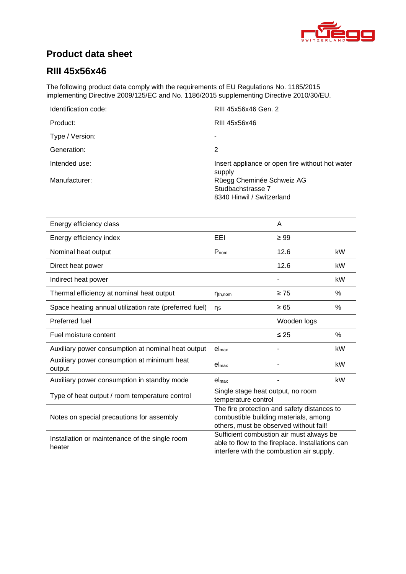

# **Product data sheet**

## **RIII [45x56x46](#page-0-0)**

The following product data comply with the requirements of EU Regulations No. 1185/2015 implementing Directive 2009/125/EC and No. 1186/2015 supplementing Directive 2010/30/EU.

| Identification code: | RIII 45x56x46 Gen. 2                                      |
|----------------------|-----------------------------------------------------------|
| Product:             | RIII 45x56x46                                             |
| Type / Version:      | ٠                                                         |
| Generation:          | 2                                                         |
| Intended use:        | Insert appliance or open fire without hot water<br>supply |
| Manufacturer:        | Rüegg Cheminée Schweiz AG                                 |
|                      | Studbachstrasse 7                                         |
|                      | 8340 Hinwil / Switzerland                                 |

| Energy efficiency class                                  |                                                                                                                                           | A           |      |
|----------------------------------------------------------|-------------------------------------------------------------------------------------------------------------------------------------------|-------------|------|
| Energy efficiency index                                  | EEL                                                                                                                                       | $\geq 99$   |      |
| Nominal heat output                                      | $P_{nom}$                                                                                                                                 | 12.6        | kW   |
| Direct heat power                                        |                                                                                                                                           | 12.6        | kW   |
| Indirect heat power                                      |                                                                                                                                           |             | kW   |
| Thermal efficiency at nominal heat output                | $\eta_{th,nom}$                                                                                                                           | $\geq 75$   | %    |
| Space heating annual utilization rate (preferred fuel)   | ns                                                                                                                                        | $\geq 65$   | $\%$ |
| Preferred fuel                                           |                                                                                                                                           | Wooden logs |      |
| Fuel moisture content                                    |                                                                                                                                           | $\leq 25$   | $\%$ |
| Auxiliary power consumption at nominal heat output       | el <sub>max</sub>                                                                                                                         |             | kW   |
| Auxiliary power consumption at minimum heat<br>output    | $el_{max}$                                                                                                                                |             | kW   |
| Auxiliary power consumption in standby mode              | el <sub>max</sub>                                                                                                                         |             | kW   |
| Type of heat output / room temperature control           | Single stage heat output, no room<br>temperature control                                                                                  |             |      |
| Notes on special precautions for assembly                | The fire protection and safety distances to<br>combustible building materials, among<br>others, must be observed without fail!            |             |      |
| Installation or maintenance of the single room<br>heater | Sufficient combustion air must always be<br>able to flow to the fireplace. Installations can<br>interfere with the combustion air supply. |             |      |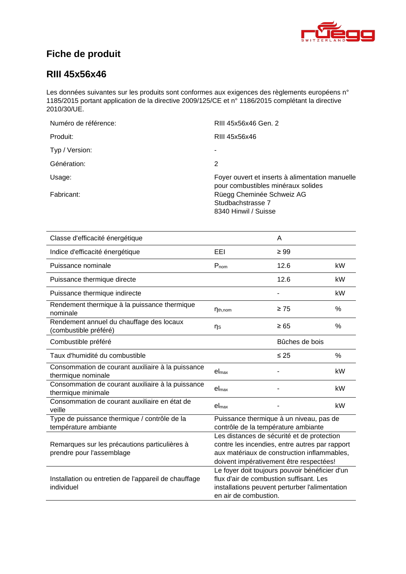

# **Fiche de produit**

### **RIII [45x56x46](#page-0-0)**

Les données suivantes sur les produits sont conformes aux exigences des règlements européens n° 1185/2015 portant application de la directive 2009/125/CE et n° 1186/2015 complétant la directive 2010/30/UE.

| Numéro de référence: | RIII 45x56x46 Gen. 2                                                                  |
|----------------------|---------------------------------------------------------------------------------------|
| Produit:             | RIII 45x56x46                                                                         |
| Typ / Version:       | ۰                                                                                     |
| Génération:          | 2                                                                                     |
| Usage:               | Foyer ouvert et inserts à alimentation manuelle<br>pour combustibles minéraux solides |
| Fabricant:           | Rüegg Cheminée Schweiz AG<br>Studbachstrasse 7<br>8340 Hinwil / Suisse                |

| Classe d'efficacité énergétique                                            |                                                                                                                                                                                        | A         |      |
|----------------------------------------------------------------------------|----------------------------------------------------------------------------------------------------------------------------------------------------------------------------------------|-----------|------|
| Indice d'efficacité énergétique                                            | EEL                                                                                                                                                                                    | $\geq 99$ |      |
| Puissance nominale                                                         | $P_{nom}$                                                                                                                                                                              | 12.6      | kW   |
| Puissance thermique directe                                                |                                                                                                                                                                                        | 12.6      | kW   |
| Puissance thermique indirecte                                              |                                                                                                                                                                                        |           | kW   |
| Rendement thermique à la puissance thermique<br>nominale                   | $\eta_{th,nom}$                                                                                                                                                                        | $\geq 75$ | $\%$ |
| Rendement annuel du chauffage des locaux<br>(combustible préféré)          | ηs                                                                                                                                                                                     | $\geq 65$ | %    |
| Combustible préféré                                                        | Bûches de bois                                                                                                                                                                         |           |      |
| Taux d'humidité du combustible                                             |                                                                                                                                                                                        | $\leq 25$ | $\%$ |
| Consommation de courant auxiliaire à la puissance<br>thermique nominale    | el <sub>max</sub>                                                                                                                                                                      |           | kW   |
| Consommation de courant auxiliaire à la puissance<br>thermique minimale    | el <sub>max</sub>                                                                                                                                                                      |           | kW   |
| Consommation de courant auxiliaire en état de<br>veille                    | el <sub>max</sub>                                                                                                                                                                      |           | kW   |
| Type de puissance thermique / contrôle de la<br>température ambiante       | Puissance thermique à un niveau, pas de<br>contrôle de la température ambiante                                                                                                         |           |      |
| Remarques sur les précautions particulières à<br>prendre pour l'assemblage | Les distances de sécurité et de protection<br>contre les incendies, entre autres par rapport<br>aux matériaux de construction inflammables,<br>doivent impérativement être respectées! |           |      |
| Installation ou entretien de l'appareil de chauffage<br>individuel         | Le foyer doit toujours pouvoir bénéficier d'un<br>flux d'air de combustion suffisant. Les<br>installations peuvent perturber l'alimentation<br>en air de combustion.                   |           |      |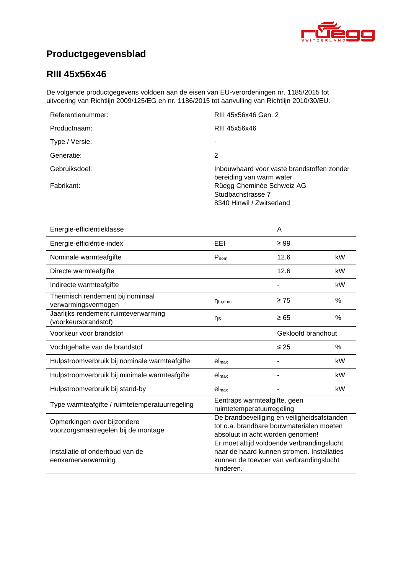

# **Productgegevensblad**

## **RIII [45x56x46](#page-0-0)**

De volgende productgegevens voldoen aan de eisen van EU-verordeningen nr. 1185/2015 tot uitvoering van Richtlijn 2009/125/EG en nr. 1186/2015 tot aanvulling van Richtlijn 2010/30/EU.

| Referentienummer: | RIII 45x56x46 Gen. 2                                                        |
|-------------------|-----------------------------------------------------------------------------|
| Productnaam:      | RIII 45x56x46                                                               |
| Type / Versie:    |                                                                             |
| Generatie:        | 2                                                                           |
| Gebruiksdoel:     | Inbouwhaard voor vaste brandstoffen zonder<br>bereiding van warm water      |
| Fabrikant:        | Rüegg Cheminée Schweiz AG<br>Studbachstrasse 7<br>8340 Hinwil / Zwitserland |

| Energie-efficiëntieklasse                                          |                                                                                                                                                  | A         |               |
|--------------------------------------------------------------------|--------------------------------------------------------------------------------------------------------------------------------------------------|-----------|---------------|
| Energie-efficiëntie-index                                          | EEI                                                                                                                                              | $\geq 99$ |               |
| Nominale warmteafgifte                                             | $P_{nom}$                                                                                                                                        | 12.6      | kW            |
| Directe warmteafgifte                                              |                                                                                                                                                  | 12.6      | kW            |
| Indirecte warmteafgifte                                            |                                                                                                                                                  |           | kW            |
| Thermisch rendement bij nominaal<br>verwarmingsvermogen            | $\eta_{th,nom}$                                                                                                                                  | $\geq 75$ | $\frac{0}{0}$ |
| Jaarlijks rendement ruimteverwarming<br>(voorkeursbrandstof)       | ns                                                                                                                                               | $\geq 65$ | $\%$          |
| Voorkeur voor brandstof                                            | Gekloofd brandhout                                                                                                                               |           |               |
| Vochtgehalte van de brandstof                                      |                                                                                                                                                  | $\leq 25$ | $\%$          |
| Hulpstroomverbruik bij nominale warmteafgifte                      | el <sub>max</sub>                                                                                                                                |           | kW            |
| Hulpstroomverbruik bij minimale warmteafgifte                      | el <sub>max</sub>                                                                                                                                |           | kW            |
| Hulpstroomverbruik bij stand-by                                    | el <sub>max</sub>                                                                                                                                |           | kW            |
| Type warmteafgifte / ruimtetemperatuurregeling                     | Eentraps warmteafgifte, geen<br>ruimtetemperatuurregeling                                                                                        |           |               |
| Opmerkingen over bijzondere<br>voorzorgsmaatregelen bij de montage | De brandbeveiliging en veiligheidsafstanden<br>tot o.a. brandbare bouwmaterialen moeten<br>absoluut in acht worden genomen!                      |           |               |
| Installatie of onderhoud van de<br>eenkamerverwarming              | Er moet altijd voldoende verbrandingslucht<br>naar de haard kunnen stromen. Installaties<br>kunnen de toevoer van verbrandingslucht<br>hinderen. |           |               |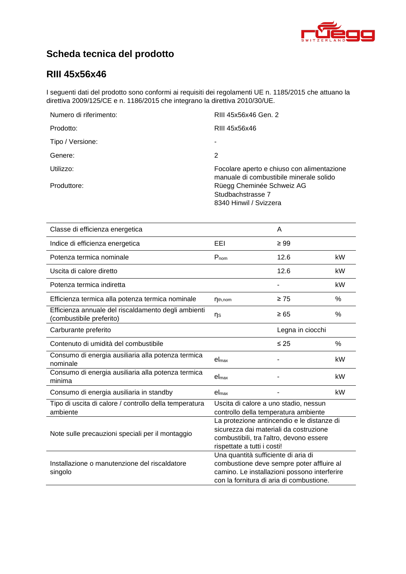

# **Scheda tecnica del prodotto**

## **RIII [45x56x46](#page-0-0)**

I seguenti dati del prodotto sono conformi ai requisiti dei regolamenti UE n. 1185/2015 che attuano la direttiva 2009/125/CE e n. 1186/2015 che integrano la direttiva 2010/30/UE.

| Numero di riferimento: | RIII 45x56x46 Gen. 2                                                                  |
|------------------------|---------------------------------------------------------------------------------------|
| Prodotto:              | RIII 45x56x46                                                                         |
| Tipo / Versione:       |                                                                                       |
| Genere:                | 2                                                                                     |
| Utilizzo:              | Focolare aperto e chiuso con alimentazione<br>manuale di combustibile minerale solido |
| Produttore:            | Rüegg Cheminée Schweiz AG<br>Studbachstrasse 7<br>8340 Hinwil / Svizzera              |

| Classe di efficienza energetica                                                 |                                                                                                                                                                              | A         |      |
|---------------------------------------------------------------------------------|------------------------------------------------------------------------------------------------------------------------------------------------------------------------------|-----------|------|
| Indice di efficienza energetica                                                 | EEL                                                                                                                                                                          | $\geq 99$ |      |
| Potenza termica nominale                                                        | Pnom                                                                                                                                                                         | 12.6      | kW   |
| Uscita di calore diretto                                                        |                                                                                                                                                                              | 12.6      | kW   |
| Potenza termica indiretta                                                       |                                                                                                                                                                              |           | kW   |
| Efficienza termica alla potenza termica nominale                                | $\eta_{th,nom}$                                                                                                                                                              | $\geq 75$ | %    |
| Efficienza annuale del riscaldamento degli ambienti<br>(combustibile preferito) | ηs                                                                                                                                                                           | $\geq 65$ | $\%$ |
| Carburante preferito                                                            | Legna in ciocchi                                                                                                                                                             |           |      |
| Contenuto di umidità del combustibile                                           |                                                                                                                                                                              | $\leq 25$ | $\%$ |
| Consumo di energia ausiliaria alla potenza termica<br>nominale                  | el <sub>max</sub>                                                                                                                                                            |           | kW   |
| Consumo di energia ausiliaria alla potenza termica<br>minima                    | el <sub>max</sub>                                                                                                                                                            |           | kW   |
| Consumo di energia ausiliaria in standby                                        | el <sub>max</sub>                                                                                                                                                            |           | kW   |
| Tipo di uscita di calore / controllo della temperatura<br>ambiente              | Uscita di calore a uno stadio, nessun<br>controllo della temperatura ambiente                                                                                                |           |      |
| Note sulle precauzioni speciali per il montaggio                                | La protezione antincendio e le distanze di<br>sicurezza dai materiali da costruzione<br>combustibili, tra l'altro, devono essere<br>rispettate a tutti i costi!              |           |      |
| Installazione o manutenzione del riscaldatore<br>singolo                        | Una quantità sufficiente di aria di<br>combustione deve sempre poter affluire al<br>camino. Le installazioni possono interferire<br>con la fornitura di aria di combustione. |           |      |